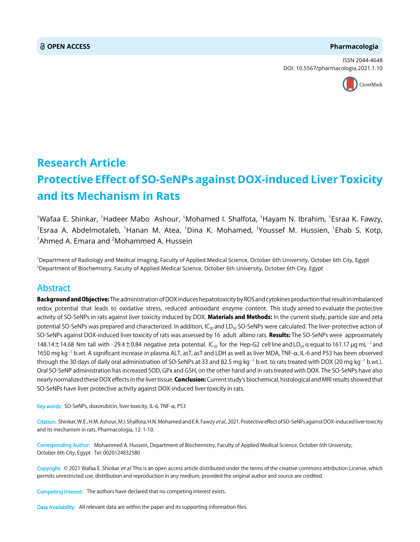### **OPEN ACCESS Pharmacologia**

ISSN 2044-4648 DOI: 10.5567/pharmacologia.2021.1.10



# **Research Article Protective Effect of SO-SeNPs against DOX-induced Liver Toxicity and its Mechanism in Rats**

<sup>1</sup>Wafaa E. Shinkar, <sup>1</sup>Hadeer Mabo Ashour, <sup>1</sup>Mohamed I. Shalfota, <sup>1</sup>Hayam N. Ibrahim, <sup>1</sup>Esraa K. Fawzy,  $^{\text{1}}$ Esraa A. Abdelmotaleb,  $^{\text{1}}$ Hanan M. Atea,  $^{\text{1}}$ Dina K. Mohamed,  $^{\text{1}}$ Youssef M. Hussien,  $^{\text{1}}$ Ehab S. Kotp,  $^1$ Ahmed A. Emara and  $^2$ Mohammed A. Hussein

1 Department of Radiology and Medical Imaging, Faculty of Applied Medical Science, October 6th University, October 6th City, Egypt 2 Department of Biochemistry, Faculty of Applied Medical Science, October 6th University, October 6th City, Egypt

# Abstract

Background and Objective: The administration of DOX induces hepatotoxicity by ROS and cytokines production that result in imbalanced redox potential that leads to oxidative stress, reduced antioxidant enzyme content. This study aimed to evaluate the protective activity of SO-SeNPs in rats against liver toxicity induced by DOX. Materials and Methods: In the current study, particle size and zeta potential SO-SeNPs was prepared and characterized. In addition,  $IC_{50}$  and  $LD_{50}$  SO-SeNPs were calculated. The liver-protective action of SO-SeNPs against DOX-induced liver toxicity of rats was assessed by 16 adult albino rats. Results: The SO-SeNPs were approximately 148.14 $\pm$ 14.68 Nm tall with -29.4 $\pm$ 0.84 negative zeta potential. IC<sub>so</sub> for the Hep-G2 cell line and LD<sub>so</sub> is equal to 161.17 µg mL<sup>-1</sup> and 1650 mg kg<sup>-1</sup> b.wt. A significant increase in plasma ALT, asT, asT and LDH as well as liver MDA, TNF- $\alpha$ , IL-6 and P53 has been observed through the 30 days of daily oral administration of SO-SeNPs at 33 and 82.5 mg kg<sup>-1</sup> b.wt. to rats treated with DOX (20 mg kg<sup>-1</sup> b.wt.). Oral SO-SeNP administration has increased SOD, GPx and GSH, on the other hand and in rats treated with DOX. The SO-SeNPs have also nearly normalized these DOX effects in the liver tissue. Conclusion: Current study's biochemical, histological and MRI results showed that SO-SeNPs have liver protective activity against DOX-induced liver toxicity in rats.

Key words: SO-SeNPs, doxorubicin, liver toxicity, IL-6, TNF- $\alpha$ , P53

Citation: Shinkar, W.E., H.M. Ashour, M.I. Shalfota, H.N. Mohamed and E.K. Fawzy et al., 2021. Protective effect of SO-SeNPs against DOX-induced liver toxicity and its mechanism in rats. Pharmacologia, 12: 1-10.

Corresponding Author: Mohammed A. Hussein, Department of Biochemistry, Faculty of Applied Medical Science, October 6th University, October 6th City, Egypt Tel: 0020124832580

Copyright: © 2021 Wafaa E. Shinkar et al. This is an open access article distributed under the terms of the creative commons attribution License, which permits unrestricted use, distribution and reproduction in any medium, provided the original author and source are credited.

Competing Interest: The authors have declared that no competing interest exists.

Data Availability: All relevant data are within the paper and its supporting information files.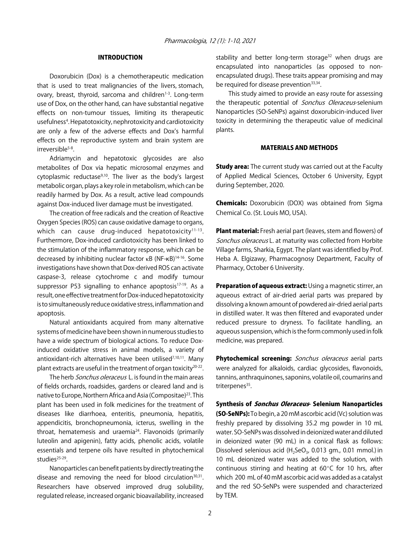# INTRODUCTION

Doxorubicin (Dox) is a chemotherapeutic medication that is used to treat malignancies of the livers, stomach, ovary, breast, thyroid, sarcoma and children<sup>1-3</sup>. Long-term use of Dox, on the other hand, can have substantial negative effects on non-tumour tissues, limiting its therapeutic usefulness<sup>4</sup>. Hepatotoxicity, nephrotoxicity and cardiotoxicity are only a few of the adverse effects and Dox's harmful effects on the reproductive system and brain system are irreversible<sup>5-8</sup>.

Adriamycin and hepatotoxic glycosides are also metabolites of Dox via hepatic microsomal enzymes and cytoplasmic reductase<sup>9,10</sup>. The liver as the body's largest metabolic organ, plays a key role in metabolism, which can be readily harmed by Dox. As a result, active lead compounds against Dox-induced liver damage must be investigated.

The creation of free radicals and the creation of Reactive Oxygen Species (ROS) can cause oxidative damage to organs, which can cause drug-induced hepatotoxicity $11-13$ . Furthermore, Dox-induced cardiotoxicity has been linked to the stimulation of the inflammatory response, which can be decreased by inhibiting nuclear factor κB (NF-κB)<sup>14-16</sup>. Some investigations have shown that Dox-derived ROS can activate caspase-3, release cytochrome c and modify tumour suppressor P53 signalling to enhance apoptosis<sup>17-19</sup>. As a result, one effective treatment for Dox-induced hepatotoxicity is to simultaneously reduce oxidative stress, inflammation and apoptosis.

Natural antioxidants acquired from many alternative systems of medicine have been shown in numerous studies to have a wide spectrum of biological actions. To reduce Doxinduced oxidative stress in animal models, a variety of antioxidant-rich alternatives have been utilised $7,10,11$ . Many plant extracts are useful in the treatment of organ toxicity20-22.

The herb Sonchus oleraceus L. is found in the main areas of fields orchards, roadsides, gardens or cleared land and is native to Europe, Northern Africa and Asia (Compositae)<sup>23</sup>. This plant has been used in folk medicines for the treatment of diseases like diarrhoea, enteritis, pneumonia, hepatitis, appendicitis, bronchopneumonia, icterus, swelling in the throat, hematemesis and uraemia $24$ . Flavonoids (primarily luteolin and apigenin), fatty acids, phenolic acids, volatile essentials and terpene oils have resulted in phytochemical studies $25-29$ .

Nanoparticles can benefit patients by directly treating the disease and removing the need for blood circulation<sup>30,31</sup>. Researchers have observed improved drug solubility, regulated release, increased organic bioavailability, increased

stability and better long-term storage<sup>32</sup> when drugs are encapsulated into nanoparticles (as opposed to nonencapsulated drugs). These traits appear promising and may be required for disease prevention<sup>33,34</sup>.

This study aimed to provide an easy route for assessing the therapeutic potential of *Sonchus Oleraceus*-selenium Nanoparticles (SO-SeNPs) against doxorubicin-induced liver toxicity in determining the therapeutic value of medicinal plants.

# MATERIALS AND METHODS

**Study area:** The current study was carried out at the Faculty of Applied Medical Sciences, October 6 University, Egypt during September, 2020.

Chemicals: Doxorubicin (DOX) was obtained from Sigma Chemical Co. (St. Louis MO, USA).

**Plant material:** Fresh aerial part (leaves, stem and flowers) of Sonchus oleraceus L. at maturity was collected from Horbite Village farms, Sharkia, Egypt. The plant was identified by Prof. Heba A. Elgizawy, Pharmacognosy Department, Faculty of Pharmacy, October 6 University.

Preparation of aqueous extract: Using a magnetic stirrer, an aqueous extract of air-dried aerial parts was prepared by dissolving a known amount of powdered air-dried aerial parts in distilled water. It was then filtered and evaporated under reduced pressure to dryness. To facilitate handling, an aqueous suspension, which is the form commonly used in folk medicine, was prepared.

Phytochemical screening: Sonchus oleraceus aerial parts were analyzed for alkaloids, cardiac glycosides, flavonoids, tannins, anthraquinones, saponins, volatile oil, coumarins and triterpenes<sup>35</sup>.

Synthesis of *Sonchus Oleraceus*- Selenium Nanoparticles (SO-SeNPs): To begin, a 20 mM ascorbic acid (Vc) solution was freshly prepared by dissolving 35.2 mg powder in 10 mL water. SO-SeNPs was dissolved in deionized water and diluted in deionized water (90 mL) in a conical flask as follows: Dissolved selenious acid (H<sub>2</sub>SeO<sub>3</sub>, 0.013 gm., 0.01 mmol.) in 10 mL deionized water was added to the solution, with continuous stirring and heating at  $60^{\circ}$ C for 10 hrs, after which 200 mL of 40 mM ascorbic acid was added as a catalyst and the red SO-SeNPs were suspended and characterized by TEM.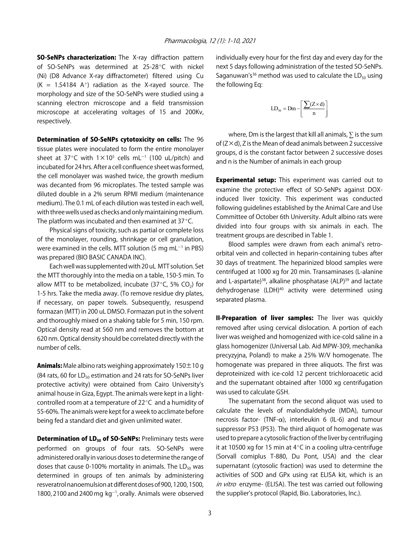**SO-SeNPs characterization:** The X-ray diffraction pattern of SO-SeNPs was determined at 25-28 $^{\circ}$ C with nickel (Ni) (D8 Advance X-ray diffractometer) filtered using Cu (K = 1.54184 A $\degree$ ) radiation as the X-rayed source. The morphology and size of the SO-SeNPs were studied using a scanning electron microscope and a field transmission microscope at accelerating voltages of 15 and 200Kv, respectively.

Determination of SO-SeNPs cytotoxicity on cells: The 96 tissue plates were inoculated to form the entire monolayer sheet at 37°C with 1 $\times$ 10<sup>5</sup> cells mL<sup>-1</sup> (100 uL/pitch) and incubated for 24 hrs. After a cell confluence sheet was formed, the cell monolayer was washed twice, the growth medium was decanted from 96 microplates. The tested sample was diluted double in a 2% serum RPMI medium (maintenance medium). The 0.1 mL of each dilution was tested in each well, with three wells used as checks and only maintaining medium. The platform was incubated and then examined at  $37^{\circ}$ C.

Physical signs of toxicity, such as partial or complete loss of the monolayer, rounding, shrinkage or cell granulation, were examined in the cells. MTT solution (5 mg mL $^{-1}$  in PBS) was prepared (BIO BASIC CANADA INC).

Each well was supplemented with 20 uL MTT solution. Set the MTT thoroughly into the media on a table, 150-5 min. To allow MTT to be metabolized, incubate (37 $\degree$ C, 5% CO<sub>2</sub>) for 1-5 hrs. Take the media away. (To remove residue dry plates, if necessary, on paper towels. Subsequently, resuspend formazan (MTT) in 200 uL DMSO. Formazan put in the solvent and thoroughly mixed on a shaking table for 5 min, 150 rpm. Optical density read at 560 nm and removes the bottom at 620 nm. Optical density should be correlated directly with the number of cells.

**Animals:** Male albino rats weighing approximately  $150 \pm 10$  g (84 rats, 60 for  $LD_{50}$  estimation and 24 rats for SO-SeNPs liver protective activity) were obtained from Cairo University's animal house in Giza, Egypt. The animals were kept in a lightcontrolled room at a temperature of  $22^{\circ}$ C and a humidity of 55-60%. The animals were kept for a week to acclimate before being fed a standard diet and given unlimited water.

**Determination of LD<sub>50</sub> of SO-SeNPs:** Preliminary tests were performed on groups of four rats. SO-SeNPs were administered orally in various doses to determine the range of doses that cause 0-100% mortality in animals. The  $LD_{50}$  was determined in groups of ten animals by administering resveratrol nanoemulsion at different doses of 900, 1200, 1500, 1800, 2100 and 2400 mg  $kg^{-1}$ , orally. Animals were observed

individually every hour for the first day and every day for the next 5 days following administration of the tested SO-SeNPs. Saganuwan's<sup>36</sup> method was used to calculate the  $LD_{50}$  using the following Eq:

$$
LD_{50} = Dm - \left[\frac{\sum (Z \times d)}{n}\right]
$$

where, Dm is the largest that kill all animals,  $\Sigma$  is the sum of (Z×d), Z is the Mean of dead animals between 2 successive groups, d is the constant factor between 2 successive doses and n is the Number of animals in each group

**Experimental setup:** This experiment was carried out to examine the protective effect of SO-SeNPs against DOXinduced liver toxicity. This experiment was conducted following guidelines established by the Animal Care and Use Committee of October 6th University. Adult albino rats were divided into four groups with six animals in each. The treatment groups are described in Table 1.

Blood samples were drawn from each animal's retroorbital vein and collected in heparin-containing tubes after 30 days of treatment. The heparinized blood samples were centrifuged at 1000 xg for 20 min. Transaminases (L-alanine and L-aspartate)<sup>38</sup>, alkaline phosphatase (ALP)<sup>39</sup> and lactate dehydrogenase (LDH)<sup>40</sup> activity were determined using separated plasma.

**II-Preparation of liver samples:** The liver was quickly removed after using cervical dislocation. A portion of each liver was weighed and homogenized with ice-cold saline in a glass homogenizer (Universal Lab. Aid MPW-309, mechanika precyzyjna, Poland) to make a 25% W/V homogenate. The homogenate was prepared in three aliquots. The first was deproteinized with ice-cold 12 percent trichloroacetic acid and the supernatant obtained after 1000 xg centrifugation was used to calculate GSH.

The supernatant from the second aliquot was used to calculate the levels of malondialdehyde (MDA), tumour necrosis factor- (TNF- $\alpha$ ), interleukin 6 (IL-6) and tumour suppressor P53 (P53). The third aliquot of homogenate was used to prepare a cytosolic fraction of the liver by centrifuging it at 10500 xg for 15 min at  $4^{\circ}$ C in a cooling ultra-centrifuge (Sorvall comiplus T-880, Du Pont, USA) and the clear supernatant (cytosolic fraction) was used to determine the activities of SOD and GPx using rat ELISA kit, which is an in vitro enzyme- (ELISA). The test was carried out following the supplier's protocol (Rapid, Bio. Laboratories, Inc.).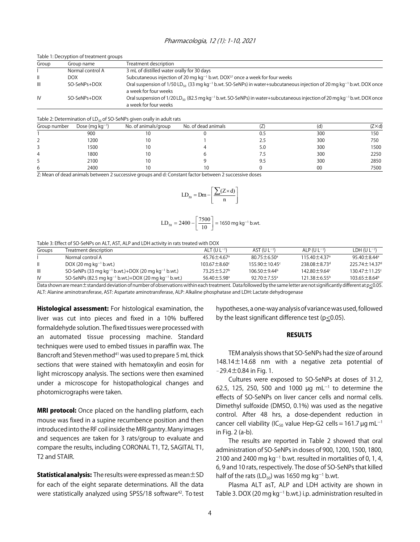#### Pharmacologia, 12 (1): 1-10, 2021

| Table 1: Decryption of treatment groups |                  |                                                                                                                                                                              |  |  |  |
|-----------------------------------------|------------------|------------------------------------------------------------------------------------------------------------------------------------------------------------------------------|--|--|--|
| Group                                   | Group name       | Treatment description                                                                                                                                                        |  |  |  |
|                                         | Normal control A | 3 mL of distilled water orally for 30 days                                                                                                                                   |  |  |  |
|                                         | DOX              | Subcutaneous injection of 20 mg kg <sup>-1</sup> b.wt. DOX <sup>37</sup> once a week for four weeks                                                                          |  |  |  |
| Ш                                       | SO-SeNPs+DOX     | Oral suspension of 1/50 LD <sub>so</sub> (33 mg kg <sup>-1</sup> b.wt. SO-SeNPs) in water+subcutaneous injection of 20 mg kg <sup>-1</sup> b.wt.<br>a week for four weeks    |  |  |  |
| IV                                      | SO-SeNPs+DOX     | Oral suspension of $1/20$ LD <sub>50</sub> (82.5 mg kg <sup>-1</sup> b.wt. SO-SeNPs) in water+subcutaneous injection of 20 mg kg <sup>-1</sup> b.wt<br>a week for four weeks |  |  |  |

#### Table 2: Determination of  $LD_{50}$  of SO-SeNPs given orally in adult rats

|              | --                   | --                   |                     |       |     |                |
|--------------|----------------------|----------------------|---------------------|-------|-----|----------------|
| Group number | Dose (mg $kg^{-1}$ ) | No. of animals/group | No. of dead animals | ╰     | ۰α  | $(Z \times d)$ |
|              | 900                  |                      |                     | ∪.J   | 300 | 150            |
|              | 1200                 |                      |                     | ے . ک | 300 | 750            |
|              | 1500                 |                      |                     | 5.0   | 300 | 1500           |
| 4            | 1800                 |                      |                     |       | 300 | 2250           |
|              | 2100                 |                      |                     | 9.5   | 300 | 2850           |
| b            | 2400                 |                      | 1 C                 |       | 00  | 7500           |

Z: Mean of dead animals between 2 successive groups and d: Constant factor between 2 successive doses

$$
LD_{50} = Dm - \left[\frac{\sum (Z \times d)}{n}\right]
$$

$$
LD_{50} = 2400 - \left[\frac{7500}{10}\right] = 1650 \text{ mg kg}^{-1} \text{ b.wt.}
$$

Table 3: Effect of SO-SeNPs on ALT, AST, ALP and LDH activity in rats treated with DOX

| Groups        | Treatment description                                                        | ALT (U $L^{-1}$ )             | $AST (UL^{-1})$                 | $ALP$ (U $L^{-1}$ )        | $LDH (UL^{-1})$                 |
|---------------|------------------------------------------------------------------------------|-------------------------------|---------------------------------|----------------------------|---------------------------------|
|               | Normal control A                                                             | $45.76 \pm 4.67$ <sup>a</sup> | $80.75 + 6.50$ <sup>a</sup>     | $11540 + 437$ <sup>a</sup> | $95\,40 + 8\,44^{\circ}$        |
| $\mathbf{II}$ | DOX (20 mg kg <sup>-1</sup> b.wt.)                                           | $103.67 \pm 8.60^{\circ}$     | $155.90 \pm 10.45$ <sup>c</sup> | $738.08 + 8.73d$           | $225.74 \pm 14.37$ <sup>d</sup> |
| Ш             | SO-SeNPs (33 mg kg <sup>-1</sup> b.wt.)+DOX (20 mg kg <sup>-1</sup> b.wt.)   | $73.25 + 5.27$                | $106.50 \pm 9.44^{\circ}$       | $142.80 + 9.64$            | $13047 + 11.25$                 |
| IV            | SO-SeNPs (82.5 mg kg <sup>-1</sup> b.wt.)+DOX (20 mg kg <sup>-1</sup> b.wt.) | $56.40 \pm 5.98$ <sup>a</sup> | 92.70 $\pm$ 7.55 <sup>a</sup>   | $121.38 \pm 6.55^{\circ}$  | $103.65 + 8.64^b$               |

Data shown are mean±standard deviation of number of observations within each treatment. Data followed by the same letter are not significantly different at p<0.05. ALT: Alanine aminotransferase, AST: Aspartate aminotransferase, ALP: Alkaline phosphatase and LDH: Lactate dehydrogenase

Histological assessment: For histological examination, the liver was cut into pieces and fixed in a 10% buffered formaldehyde solution. The fixed tissues were processed with an automated tissue processing machine. Standard techniques were used to embed tissues in paraffin wax. The Bancroft and Steven method<sup>41</sup> was used to prepare 5 mL thick sections that were stained with hematoxylin and eosin for light microscopy analysis. The sections were then examined under a microscope for histopathological changes and photomicrographs were taken.

**MRI protocol:** Once placed on the handling platform, each mouse was fixed in a supine recumbence position and then introduced into the RF coil inside the MRI gantry. Many images and sequences are taken for 3 rats/group to evaluate and compare the results, including CORONAL T1, T2, SAGITAL T1, T2 and STAIR.

**Statistical analysis:** The results were expressed as mean $\pm$ SD for each of the eight separate determinations. All the data were statistically analyzed using SPSS/18 software<sup>42</sup>. To test hypotheses, a one-way analysis of variance was used, followed by the least significant difference test (p<0.05).

DOX once

DOX once

#### RESULTS

TEM analysis shows that SO-SeNPs had the size of around 148.14±14.68 nm with a negative zeta potential of  $-29.4 \pm 0.84$  in Fig. 1.

Cultures were exposed to SO-SeNPs at doses of 31.2, 62.5, 125, 250, 500 and 1000  $\mu$ g mL<sup>-1</sup> to determine the effects of SO-SeNPs on liver cancer cells and normal cells. Dimethyl sulfoxide (DMSO, 0.1%) was used as the negative control. After 48 hrs, a dose-dependent reduction in cancer cell viability (IC<sub>50</sub> value Hep-G2 cells = 161.7 µg mL<sup>-1</sup> in Fig. 2 (a-b).

The results are reported in Table 2 showed that oral administration of SO-SeNPs in doses of 900, 1200, 1500, 1800, 2100 and 2400 mg  $kg^{-1}$  b.wt. resulted in mortalities of 0, 1, 4, 6, 9 and 10 rats, respectively. The dose of SO-SeNPs that killed half of the rats (LD $_{50}$ ) was 1650 mg kg $^{\rm -1}$  b.wt.

Plasma ALT asT, ALP and LDH activity are shown in Table 3. DOX (20 mg  $kg^{-1}$  b.wt.) i.p. administration resulted in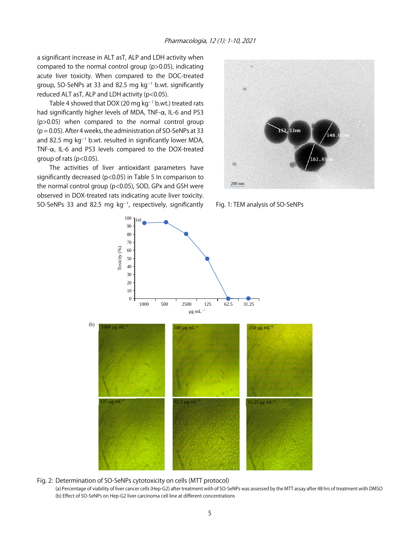a significant increase in ALT asT, ALP and LDH activity when compared to the normal control group (p>0.05), indicating acute liver toxicity. When compared to the DOC-treated group, SO-SeNPs at 33 and 82.5 mg  $kg^{-1}$  b.wt. significantly reduced ALT asT, ALP and LDH activity (p<0.05).

Table 4 showed that DOX (20 mg  $kg^{-1}$  b.wt.) treated rats had significantly higher levels of MDA,  $TNF-\alpha$ , IL-6 and P53 (p>0.05) when compared to the normal control group  $(p = 0.05)$ . After 4 weeks, the administration of SO-SeNPs at 33 and 82.5 mg kg<sup>-1</sup> b.wt. resulted in significantly lower MDA, TNF- $\alpha$ , IL-6 and P53 levels compared to the DOX-treated group of rats (p<0.05).

The activities of liver antioxidant parameters have significantly decreased (p<0.05) in Table 5 In comparison to the normal control group (p<0.05), SOD, GPx and GSH were observed in DOX-treated rats indicating acute liver toxicity. SO-SeNPs 33 and 82.5 mg  $kg^{-1}$ , respectively, significantly



Fig. 1: TEM analysis of SO-SeNPs



Fig. 2: Determination of SO-SeNPs cytotoxicity on cells (MTT protocol)

(a) Percentage of viability of liver cancer cells (Hep-G2) after treatment with of SO-SeNPs was assessed by the MTT assay after 48 hrs of treatment with DMSO (b) Effect of SO-SeNPs on Hep-G2 liver carcinoma cell line at different concentrations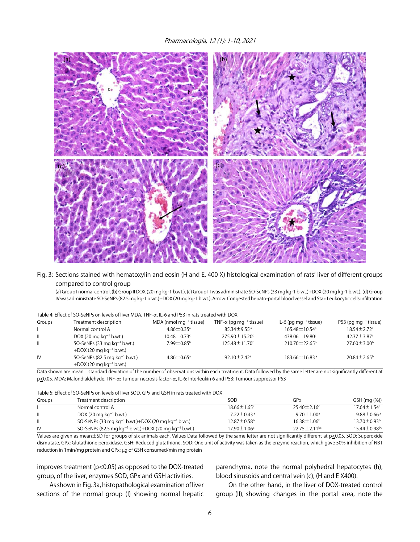Pharmacologia, 12 (1): 1-10, 2021



# Fig. 3: Sections stained with hematoxylin and eosin (H and E, 400 X) histological examination of rats' liver of different groups compared to control group

(a) Group I normal control, (b) Group II DOX (20 mg kg-1 b.wt.), (c) Group III was administrate SO-SeNPs (33 mg kg-1 b.wt.)+DOX (20 mg kg-1 b.wt.), (d) Group IV was administrate SO-SeNPs (82.5 mg kg-1 b.wt.)+DOX (20 mg kg-1 b.wt.), Arrow: Congested hepato-portal blood vessel and Star: Leukocytic cells infiltration

| Table 4: Effect of SO-Seives on levels of liver MDA, TNF-Q, IL-6 and P53 in rats treated With DOX |                                                                              |                                      |                                            |                                     |                                    |  |
|---------------------------------------------------------------------------------------------------|------------------------------------------------------------------------------|--------------------------------------|--------------------------------------------|-------------------------------------|------------------------------------|--|
| Groups                                                                                            | Treatment description                                                        | $MDA$ (nmol mg <sup>-1</sup> tissue) | TNF- $\alpha$ (pg mg <sup>-1</sup> tissue) | $IL-6$ (pg mg <sup>-1</sup> tissue) | $P53$ (pg mg <sup>-1</sup> tissue) |  |
|                                                                                                   | Normal control A                                                             | $4.86 \pm 0.35$ <sup>a</sup>         | $85.34 \pm 9.55$ <sup>a</sup>              | 165.48 ± 10.54 <sup>a</sup>         | $18.54 \pm 2.72$ <sup>a</sup>      |  |
| $\mathbf{H}$                                                                                      | DOX (20 mg $kg^{-1}$ b.wt.)                                                  | $10.48 \pm 0.73$ °                   | 275.90 ± 15.20°                            | 438.06 ± 19.80°                     | 42.37 $\pm$ 3.87 $\textdegree$     |  |
| $\mathbf{III}$                                                                                    | SO-SeNPs (33 mg $kq^{-1}$ b.wt.)<br>$+$ DOX (20 mg kg <sup>-1</sup> b.wt.)   | 7.99±0.85 <sup>b</sup>               | $125.48 \pm 11.70$ <sup>b</sup>            | $210.70 \pm 22.65^{\circ}$          | $27.60 \pm 3.00^{\circ}$           |  |
| IV                                                                                                | SO-SeNPs (82.5 mg $kq^{-1}$ b.wt.)<br>$+$ DOX (20 mg kg <sup>-1</sup> b.wt.) | $4.86 \pm 0.65$ <sup>a</sup>         | 92.10 $\pm$ 7.42 <sup>a</sup>              | $183.66 \pm 16.83$ <sup>a</sup>     | $20.84 \pm 2.65^{\circ}$           |  |

Data shown are mean±standard deviation of the number of observations within each treatment. Data followed by the same letter are not significantly different at p<0.05. MDA: Malondialdehyde, TNF-a: Tumour necrosis factor-a, IL-6: Interleukin 6 and P53: Tumour suppressor P53

|  |  | Table 5: Effect of SO-SeNPs on levels of liver SOD, GPx and GSH in rats treated with DOX |
|--|--|------------------------------------------------------------------------------------------|
|  |  |                                                                                          |

| Groups         | Treatment description                                                        | SOD                           | GPx                            | GSH (mg (%))                  |
|----------------|------------------------------------------------------------------------------|-------------------------------|--------------------------------|-------------------------------|
|                | Normal control A                                                             | $18.66 \pm 1.65$ <sup>c</sup> | $25.40 \pm 2.16$ <sup>c</sup>  | $17.64 \pm 1.54$ <sup>c</sup> |
|                | DOX (20 mg kg <sup>-1</sup> b.wt.)                                           | $7.22 \pm 0.43$ <sup>a</sup>  | $9.70 \pm 1.00^{\circ}$        | $9.88 \pm 0.66^{\circ}$       |
| $\mathbf{III}$ | SO-SeNPs (33 mg kg <sup>-1</sup> b.wt.)+DOX (20 mg kg <sup>-1</sup> b.wt.)   | $12.87 \pm 0.58$ <sup>b</sup> | $16.38 \pm 1.06^{\circ}$       | $13.70 \pm 0.93^{\circ}$      |
| IV             | SO-SeNPs (82.5 mg kg <sup>-1</sup> b.wt.)+DOX (20 mg kg <sup>-1</sup> b.wt.) | $17.90 \pm 1.06^{\circ}$      | $22.75 \pm 2.11$ <sup>bc</sup> | $15.44 \pm 0.98$ bc           |

Values are given as mean $\pm$ SD for groups of six animals each. Values Data followed by the same letter are not significantly different at p $\leq$ 0.05. SOD: Superoxide dismutase, GPx: Glutathione peroxidase, GSH: Reduced glutathione, SOD: One unit of activity was taken as the enzyme reaction, which gave 50% inhibition of NBT reduction in 1min/mg protein and GPx: µg of GSH consumed/min mg protein

improves treatment (p<0.05) as opposed to the DOX-treated group, of the liver, enzymes SOD, GPx and GSH activities.

As shown in Fig. 3a, histopathological examination of liver sections of the normal group (I) showing normal hepatic

parenchyma, note the normal polyhedral hepatocytes (h), blood sinusoids and central vein (c), (H and E X400).

On the other hand, in the liver of DOX-treated control group (II), showing changes in the portal area, note the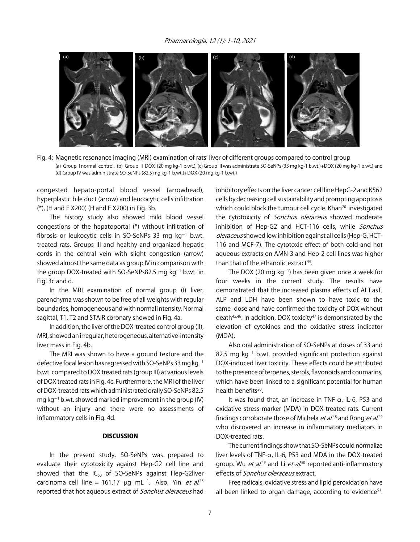

Fig. 4: Magnetic resonance imaging (MRI) examination of rats' liver of different groups compared to control group (a) Group I normal control, (b) Group II DOX (20 mg kg-1 b.wt.), (c) Group III was administrate SO-SeNPs (33 mg kg-1 b.wt.)+DOX (20 mg kg-1 b.wt.) and (d) Group IV was administrate SO-SeNPs (82.5 mg kg-1 b.wt.)+DOX (20 mg kg-1 b.wt.)

congested hepato-portal blood vessel (arrowhead), hyperplastic bile duct (arrow) and leucocytic cells infiltration (\*), (H and E X200) (H and E X200) in Fig. 3b.

The history study also showed mild blood vessel congestions of the hepatoportal (\*) without infiltration of fibrosis or leukocytic cells in SO-SeNPs 33 mg  $kg^{-1}$  b.wt. treated rats. Groups III and healthy and organized hepatic cords in the central vein with slight congestion (arrow) showed almost the same data as group IV in comparison with the group DOX-treated with SO-SeNPs82.5 mg  $kg<sup>-1</sup>$  b.wt. in Fig. 3c and d.

In the MRI examination of normal group (I) liver, parenchyma was shown to be free of all weights with regular boundaries, homogeneous and with normal intensity. Normal sagittal, T1, T2 and STAIR coronary showed in Fig. 4a.

In addition, the liver of the DOX-treated control group (II), MRI, showed an irregular, heterogeneous, alternative-intensity liver mass in Fig. 4b.

The MRI was shown to have a ground texture and the defective focal lesion has regressed with SO-SeNPs 33 mg kg<sup>-1</sup> b.wt. compared to DOX treated rats (group III) at various levels of DOX treated rats in Fig. 4c. Furthermore, the MRI of the liver of DOX-treated rats which administrated orally SO-SeNPs 82.5 mg kg $^{-1}$  b.wt. showed marked improvement in the group (IV) without an injury and there were no assessments of inflammatory cells in Fig. 4d.

# DISCUSSION

In the present study, SO-SeNPs was prepared to evaluate their cytotoxicity against Hep-G2 cell line and showed that the  $IC_{50}$  of SO-SeNPs against Hep-G2liver carcinoma cell line = 161.17  $\mu$ g mL<sup>-1</sup>. Also, Yin *et al*.<sup>43</sup> reported that hot aqueous extract of *Sonchus oleraceus* had inhibitory effects on the liver cancer cell line HepG-2 and K562 cells by decreasing cell sustainability and prompting apoptosis which could block the tumour cell cycle. Khan<sup>20</sup> investigated the cytotoxicity of *Sonchus oleraceus* showed moderate inhibition of Hep-G2 and HCT-116 cells, while Sonchus oleraceus showed low inhibition against all cells (Hep-G, HCT-116 and MCF-7). The cytotoxic effect of both cold and hot aqueous extracts on AMN-3 and Hep-2 cell lines was higher than that of the ethanolic extract<sup>44</sup>.

The DOX (20 mg kg<sup>-1</sup>) has been given once a week for four weeks in the current study. The results have demonstrated that the increased plasma effects of ALT asT, ALP and LDH have been shown to have toxic to the same dose and have confirmed the toxicity of DOX without death $45,46$ . In addition, DOX toxicity $47$  is demonstrated by the elevation of cytokines and the oxidative stress indicator (MDA).

Also oral administration of SO-SeNPs at doses of 33 and 82.5 mg  $kg^{-1}$  b.wt. provided significant protection against DOX-induced liver toxicity. These effects could be attributed to the presence of terpenes, sterols, flavonoids and coumarins, which have been linked to a significant potential for human health benefits<sup>20</sup>.

It was found that, an increase in TNF- $\alpha$ , IL-6, P53 and oxidative stress marker (MDA) in DOX-treated rats. Current findings corroborate those of Michela *et al*.<sup>48</sup> and Rong *et al*.<sup>49</sup> who discovered an increase in inflammatory mediators in DOX-treated rats.

The current findings show that SO-SeNPs could normalize liver levels of TNF- $\alpha$ , IL-6, P53 and MDA in the DOX-treated group. Wu *et al.*<sup>49</sup> and Li *et al.*<sup>50</sup> reported anti-inflammatory effects of *Sonchus oleraceus* extract.

Free radicals, oxidative stress and lipid peroxidation have all been linked to organ damage, according to evidence $51$ .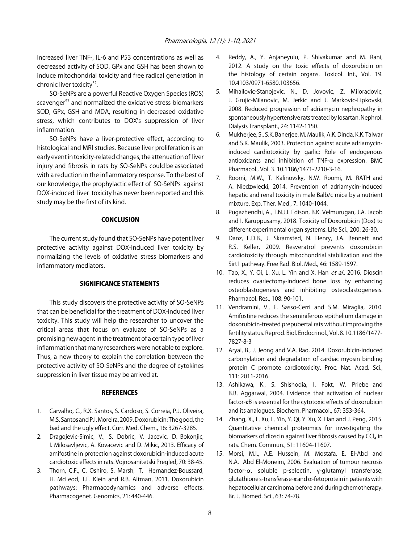Increased liver TNF-, IL-6 and P53 concentrations as well as decreased activity of SOD, GPx and GSH has been shown to induce mitochondrial toxicity and free radical generation in chronic liver toxicity<sup>52</sup>.

SO-SeNPs are a powerful Reactive Oxygen Species (ROS) scavenger<sup>53</sup> and normalized the oxidative stress biomarkers SOD, GPx, GSH and MDA, resulting in decreased oxidative stress, which contributes to DOX's suppression of liver inflammation.

SO-SeNPs have a liver-protective effect, according to histological and MRI studies. Because liver proliferation is an early event in toxicity-related changes, the attenuation of liver injury and fibrosis in rats by SO-SeNPs could be associated with a reduction in the inflammatory response. To the best of our knowledge, the prophylactic effect of SO-SeNPs against DOX-induced liver toxicity has never been reported and this study may be the first of its kind.

## **CONCLUSION**

The current study found that SO-SeNPs have potent liver protective activity against DOX-induced liver toxicity by normalizing the levels of oxidative stress biomarkers and inflammatory mediators.

#### SIGNIFICANCE STATEMENTS

This study discovers the protective activity of SO-SeNPs that can be beneficial for the treatment of DOX-induced liver toxicity. This study will help the researcher to uncover the critical areas that focus on evaluate of SO-SeNPs as a promising new agent in the treatment of a certain type of liver inflammation that many researchers were not able to explore. Thus, a new theory to explain the correlation between the protective activity of SO-SeNPs and the degree of cytokines suppression in liver tissue may be arrived at.

#### **REFERENCES**

- 1. Carvalho, C., R.X. Santos, S. Cardoso, S. Correia, P.J. Oliveira, M.S. Santos and P.I. Moreira, 2009. Doxorubicin: The good, the bad and the ugly effect. Curr. Med. Chem., 16: 3267-3285.
- 2. Dragojevic-Simic, V., S. Dobric, V. Jacevic, D. Bokonjic, I. Milosavljevic, A. Kovacevic and D. Mikic, 2013. Efficacy of amifostine in protection against doxorubicin-induced acute cardiotoxic effects in rats. Vojnosanitetski Pregled, 70: 38-45.
- 3. Thorn, C.F., C. Oshiro, S. Marsh, T. Hernandez-Boussard, H. McLeod, T.E. Klein and R.B. Altman, 2011. Doxorubicin pathways: Pharmacodynamics and adverse effects. Pharmacogenet. Genomics, 21: 440-446.
- 4. Reddy, A., Y. Anjaneyulu, P. Shivakumar and M. Rani, 2012. A study on the toxic effects of doxorubicin on the histology of certain organs. Toxicol. Int., Vol. 19. 10.4103/0971-6580.103656.
- 5. Mihailovic-Stanojevic, N., D. Jovovic, Z. Miloradovic, J. Grujic-Milanovic, M. Jerkic and J. Markovic-Lipkovski, 2008. Reduced progression of adriamycin nephropathy in spontaneously hypertensive rats treated by losartan. Nephrol. Dialysis Transplant., 24: 1142-1150.
- 6. Mukherjee, S., S.K. Banerjee, M. Maulik, A.K. Dinda, K.K. Talwar and S.K. Maulik, 2003. Protection against acute adriamycininduced cardiotoxicity by garlic: Role of endogenous antioxidants and inhibition of TNF- $\alpha$  expression. BMC Pharmacol., Vol. 3. 10.1186/1471-2210-3-16.
- 7. Roomi, M.W., T. Kalinovsky, N.W. Roomi, M. RATH and A. Niedzwiecki, 2014. Prevention of adriamycin-induced hepatic and renal toxicity in male Balb/c mice by a nutrient mixture. Exp. Ther. Med., 7: 1040-1044.
- 8. Pugazhendhi, A., T.N.J.I. Edison, B.K. Velmurugan, J.A. Jacob and I. Karuppusamy, 2018. Toxicity of Doxorubicin (Dox) to different experimental organ systems. Life Sci., 200: 26-30.
- 9. Danz, E.D.B., J. Skramsted, N. Henry, J.A. Bennett and R.S. Keller, 2009. Resveratrol prevents doxorubicin cardiotoxicity through mitochondrial stabilization and the Sirt1 pathway. Free Rad. Biol. Med., 46: 1589-1597.
- 10. Tao, X., Y. Qi, L. Xu, L. Yin and X. Han et al., 2016. Dioscin reduces ovariectomy-induced bone loss by enhancing osteoblastogenesis and inhibiting osteoclastogenesis. Pharmacol. Res., 108: 90-101.
- 11. Vendramini, V., E. Sasso-Cerri and S.M. Miraglia, 2010. Amifostine reduces the seminiferous epithelium damage in doxorubicin-treated prepubertal rats without improving the fertility status. Reprod. Biol. Endocrinol., Vol. 8. 10.1186/1477- 7827-8-3
- 12. Aryal, B., J. Jeong and V.A. Rao, 2014. Doxorubicin-induced carbonylation and degradation of cardiac myosin binding protein C promote cardiotoxicity. Proc. Nat. Acad. Sci., 111: 2011-2016.
- 13. Ashikawa, K., S. Shishodia, I. Fokt, W. Priebe and B.B. Aggarwal, 2004. Evidence that activation of nuclear factor-κB is essential for the cytotoxic effects of doxorubicin and its analogues. Biochem. Pharmacol., 67: 353-364.
- 14. Zhang, X., L. Xu, L. Yin, Y. Qi, Y. Xu, X. Han and J. Peng, 2015. Quantitative chemical proteomics for investigating the biomarkers of dioscin against liver fibrosis caused by  $\text{CCl}_4$  in rats. Chem. Commun., 51: 11604-11607.
- 15. Morsi, M.I., A.E. Hussein, M. Mostafa, E. El-Abd and N.A. Abd El-Moneim, 2006. Evaluation of tumour necrosis factor- $\alpha$ , soluble p-selectin, y-glutamyl transferase, glutathione s-transferase- $\pi$  and  $\alpha$ -fetoprotein in patients with hepatocellular carcinoma before and during chemotherapy. Br. J. Biomed. Sci., 63: 74-78.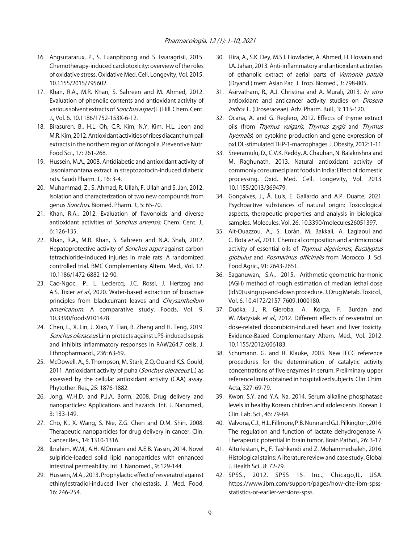- 16. Angsutararux, P., S. Luanpitpong and S. Issaragrisil, 2015. Chemotherapy-induced cardiotoxicity: overview of the roles of oxidative stress. Oxidative Med. Cell. Longevity, Vol. 2015. 10.1155/2015/795602.
- 17. Khan, R.A., M.R. Khan, S. Sahreen and M. Ahmed, 2012. Evaluation of phenolic contents and antioxidant activity of various solvent extracts of *Sonchus asper* (L.) Hill. Chem. Cent. J., Vol. 6. 10.1186/1752-153X-6-12.
- 18. Birasuren, B., H.L. Oh, C.R. Kim, N.Y. Kim, H.L. Jeon and M.R. Kim, 2012. Antioxidant activities of ribes diacanthum pall extracts in the northern region of Mongolia. Preventive Nutr. Food Sci., 17: 261-268.
- 19. Hussein, M.A., 2008. Antidiabetic and antioxidant activity of Jasoniamontana extract in streptozotocin-induced diabetic rats. Saudi Pharm. J., 16: 3-4.
- 20. Muhammad, Z., S. Ahmad, R. Ullah, F. Ullah and S. Jan, 2012. Isolation and characterization of two new compounds from genus Sonchus. Biomed. Pharm. J., 5: 65-70.
- 21. Khan, R.A., 2012. Evaluation of flavonoids and diverse antioxidant activities of Sonchus arvensis. Chem. Cent. J., 6: 126-135.
- 22. Khan, R.A., M.R. Khan, S. Sahreen and N.A. Shah, 2012. Hepatoprotective activity of Sonchus asper against carbon tetrachloride-induced injuries in male rats: A randomized controlled trial. BMC Complementary Altern. Med., Vol. 12. 10.1186/1472-6882-12-90.
- 23. Cao-Ngoc, P., L. Leclercq, J.C. Rossi, J. Hertzog and A.S. Tixier et al., 2020. Water-based extraction of bioactive principles from blackcurrant leaves and Chrysanthellum americanum: A comparative study. Foods, Vol. 9. 10.3390/foods9101478
- 24. Chen, L., X. Lin, J. Xiao, Y. Tian, B. Zheng and H. Teng, 2019. Sonchus oleraceus Linn protects against LPS-induced sepsis and inhibits inflammatory responses in RAW264.7 cells. J. Ethnopharmacol., 236: 63-69.
- 25. McDowell, A., S. Thompson, M. Stark, Z.Q. Ou and K.S. Gould, 2011. Antioxidant activity of puha (Sonchus oleraceus L.) as assessed by the cellular antioxidant activity (CAA) assay. Phytother. Res., 25: 1876-1882.
- 26. Jong, W.H.D. and P.J.A. Borm, 2008. Drug delivery and nanoparticles: Applications and hazards. Int. J. Nanomed., 3: 133-149.
- 27. Cho, K., X. Wang, S. Nie, Z.G. Chen and D.M. Shin, 2008. Therapeutic nanoparticles for drug delivery in cancer. Clin. Cancer Res., 14: 1310-1316.
- 28. Ibrahim, W.M., A.H. AlOmrani and A.E.B. Yassin, 2014. Novel sulpiride-loaded solid lipid nanoparticles with enhanced intestinal permeability. Int. J. Nanomed., 9: 129-144.
- 29. Hussein, M.A., 2013. Prophylactic effect of resveratrol against ethinylestradiol-induced liver cholestasis. J. Med. Food, 16: 246-254.
- 30. Hira, A., S.K. Dey, M.S.I. Howlader, A. Ahmed, H. Hossain and I.A. Jahan, 2013. Anti-inflammatory and antioxidant activities of ethanolic extract of aerial parts of Vernonia patula (Dryand.) merr. Asian Pac. J. Trop. Biomed., 3: 798-805.
- 31. Asirvatham, R., A.J. Christina and A. Murali, 2013. In vitro antioxidant and anticancer activity studies on *Drosera* indica L. (Droseraceae). Adv. Pharm. Bull., 3: 115-120.
- 32. Ocaña, A. and G. Reglero, 2012. Effects of thyme extract oils (from Thymus vulgaris, Thymus zygis and Thymus hyemalis) on cytokine production and gene expression of oxLDL-stimulated THP-1-macrophages. J. Obesity, 2012: 1-11.
- 33. Sreeramulu, D., C.V.K. Reddy, A. Chauhan, N. Balakrishna and M. Raghunath, 2013. Natural antioxidant activity of commonly consumed plant foods in India: Effect of domestic processing. Oxid. Med. Cell. Longevity, Vol. 2013. 10.1155/2013/369479.
- 34. Gonçalves, J., Â. Luís, E. Gallardo and A.P. Duarte, 2021. Psychoactive substances of natural origin: Toxicological aspects, therapeutic properties and analysis in biological samples. Molecules, Vol. 26. 10.3390/molecules26051397.
- 35. Ait-Ouazzou, A., S. Lorán, M. Bakkali, A. Laglaoui and C. Rota et al., 2011. Chemical composition and antimicrobial activity of essential oils of Thymus algeriensis, Eucalyptus globulus and Rosmarinus officinalis from Morocco. J. Sci. Food Agric., 91: 2643-2651.
- 36. Saganuwan, S.A., 2015. Arithmetic-geometric-harmonic (AGH) method of rough estimation of median lethal dose (ld50) using up-and-down procedure. J. Drug Metab. Toxicol., Vol. 6. 10.4172/2157-7609.1000180.
- 37. Dudka, J., R. Gieroba, A. Korga, F. Burdan and W. Matysiak et al., 2012. Different effects of resveratrol on dose-related doxorubicin-induced heart and liver toxicity. Evidence-Based Complementary Altern. Med., Vol. 2012. 10.1155/2012/606183.
- 38. Schumann, G. and R. Klauke, 2003. New IFCC reference procedures for the determination of catalytic activity concentrations of five enzymes in serum: Preliminary upper reference limits obtained in hospitalized subjects. Clin. Chim. Acta, 327: 69-79.
- 39. Kwon, S.Y. and Y.A. Na, 2014. Serum alkaline phosphatase levels in healthy Korean children and adolescents. Korean J. Clin. Lab. Sci., 46: 79-84.
- 40. Valvona, C.J., H.L. Fillmore, P.B. Nunn and G.J. Pilkington, 2016. The regulation and function of lactate dehydrogenase A: Therapeutic potential in brain tumor. Brain Pathol., 26: 3-17.
- 41. Alturkistani, H., F. Tashkandi and Z. Mohammedsaleh, 2016. Histological stains: A literature review and case study. Global J. Health Sci., 8: 72-79.
- 42. SPSS., 2012. SPSS 15. Inc., Chicago,IL, USA. https://www.ibm.com/support/pages/how-cite-ibm-spssstatistics-or-earlier-versions-spss.